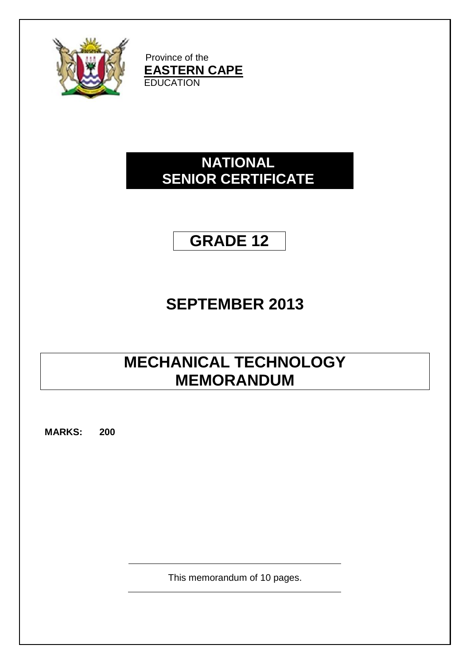

Province of the **EASTERN CAPE EDUCATION** 

## **NATIONAL SENIOR CERTIFICATE**

## **GRADE 12**

# **SEPTEMBER 2013**

## **MECHANICAL TECHNOLOGY MEMORANDUM**

**MARKS: 200**

This memorandum of 10 pages.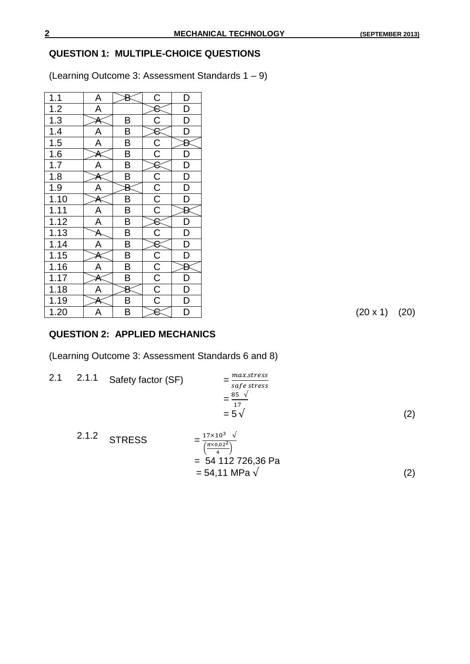### **QUESTION 1: MULTIPLE-CHOICE QUESTIONS**

(Learning Outcome 3: Assessment Standards 1 – 9)

| 1.1               | Α                       |                         | $\overline{C}$                      | D                        |
|-------------------|-------------------------|-------------------------|-------------------------------------|--------------------------|
| 1.2               | A                       |                         |                                     | D                        |
| $\overline{1.3}$  | A                       | В                       | $\overline{C}$                      | $\overline{D}$           |
| 1.4               | A                       | B                       | $\overline{8}$                      | $\overline{\mathsf{D}}$  |
| $\overline{1.5}$  | $\overline{\mathsf{A}}$ | B                       |                                     | Đ                        |
| 1.6               | Δ                       | $\overline{\mathsf{B}}$ | $\frac{\overline{C}}{\overline{C}}$ | D                        |
| 1.7               | A                       | B                       | $\overline{\mathcal{E}}$            | $\overline{D}$           |
| 1.8               |                         | B                       |                                     | D                        |
| 1.9               | A                       | B                       | $rac{C}{C}$                         | $\overline{D}$           |
| 1.10              | A                       | B                       |                                     | $\overline{D}$           |
| 1.11              | A                       | $\overline{\mathsf{B}}$ |                                     | Đ                        |
| 1.12              | $\overline{\mathsf{A}}$ | B                       | $\rm 8$                             | D                        |
| $1.\overline{13}$ | A                       | $\overline{\mathsf{B}}$ | $\overline{\text{C}}$               | $\overline{D}$           |
| 1.14              | $\overline{A}$          | B                       | 8                                   | $\overline{D}$           |
| $\overline{1.15}$ |                         | B                       |                                     | D                        |
| 1.16              | A                       | B                       |                                     | Đ                        |
| 1.17              | А                       | B                       | $rac{C}{C}$ $rac{C}{C}$             | $\overline{D}$           |
| 1.18              | A                       | В                       |                                     | $\frac{\overline{D}}{D}$ |
| 1.19              |                         | B                       |                                     |                          |
| 1.20              | A                       | B                       | 8                                   | $\overline{\mathsf{D}}$  |

 $(20 \times 1)$   $(20)$ 

### **QUESTION 2: APPLIED MECHANICS**

(Learning Outcome 3: Assessment Standards 6 and 8)

2.1  $2.1.1$  Safety factor (SF)  $\boldsymbol{m}$ S  $=\frac{8}{4}$  $\frac{33 \text{ V}}{17}$  $= 5 \sqrt{ }$  (2)

2.1.2 STRESS 
$$
= \frac{17 \times 10^3 \text{ V}}{\frac{\left(\frac{\pi \times 0.02^2}{4}\right)}{4}}
$$

$$
= 54.112 726,36 \text{ Pa}
$$

$$
= 54,11 \text{ MPa } \sqrt{\qquad (2)}
$$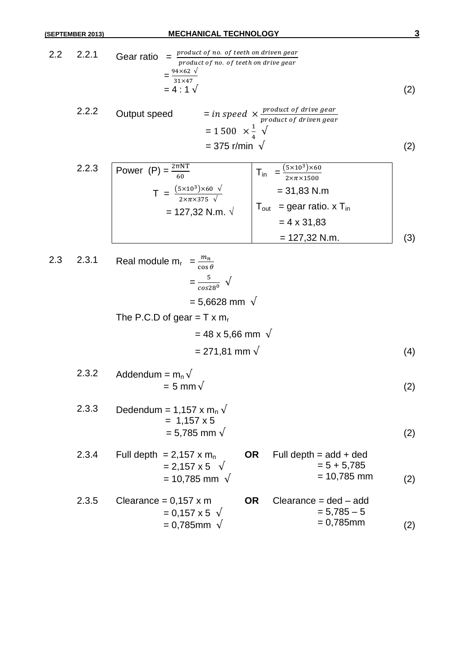2.2 2.2.1 Gear ratio = = = 4 : 1 (2)

2.2.2 Output speed = in speed × 
$$
\frac{product\ of\ drive\ gear}{product\ of\ driven\ gear}
$$
  
= 1 500 ×  $\frac{1}{4}$  V  
= 375 r/min V (2)

2.2.3 Power (P) = 
$$
\frac{2\pi NT}{60}
$$
  
\n
$$
T = \frac{(5 \times 10^{3}) \times 60 \sqrt{10}}{2 \times \pi \times 375 \sqrt{10}}
$$
\n
$$
= 127,32 \text{ N.m. } \sqrt{100t} = 90t \text{ ratio. } x \text{ T}_{in}
$$
\n
$$
= 4 \times 31,83
$$
\n
$$
= 127,32 \text{ N.m.}
$$
\n(3)

2.3 2.3.1 Real module 
$$
m_r = \frac{m_n}{\cos \theta}
$$
  
\n
$$
= \frac{5}{\cos 28^\circ} \sqrt{\frac{1}{\cos 28^\circ}}
$$
\n
$$
= 5,6628 \text{ mm } \sqrt{\frac{1}{\cos 28^\circ}}
$$
\n
$$
= 48 \times 5,66 \text{ mm } \sqrt{\frac{1}{\cos 28^\circ}}
$$
\n
$$
= 271,81 \text{ mm } \sqrt{\frac{1}{\cos 29^\circ}}
$$
\n(4)

2.3.2 Addendum = 
$$
m_n \sqrt{ }
$$
  
= 5 mm  $\sqrt{ }$  (2)

2.3.3 Dedendum = 1,157 x m<sup>n</sup> = 1,157 x 5 = 5,785 mm (2)

| 2.3.4 | Full depth = $2,157 \times m_n$<br>$= 2,157 \times 5 \sqrt{ }$<br>= 10,785 mm $\sqrt{ }$ |           | <b>OR</b> Full depth = $add + ded$<br>$= 5 + 5,785$<br>$= 10,785$ mm | (2) |
|-------|------------------------------------------------------------------------------------------|-----------|----------------------------------------------------------------------|-----|
| 2.3.5 | Clearance = $0,157 \times m$<br>$= 0.157 \times 5 \sqrt{ }$<br>$= 0.785$ mm $\sqrt{ }$   | <b>OR</b> | $Clearance = ded - add$<br>$= 5.785 - 5$<br>$= 0.785$ mm             | (2) |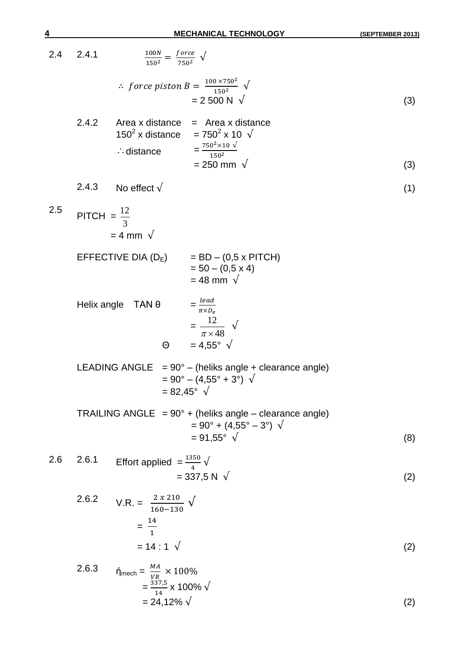2.4 2.4.1  $\mathbf{1}$  $\mathbf{1}$ f  $\frac{0.002}{750^2}$  V  $\therefore$  force piston B =  $\frac{1}{2}$  $\frac{150^2}{150^2}$   $\sqrt{ }$  $= 2\,500\,\text{N}$   $\sqrt{ }$  (3) 2.4.2 Area x distance  $=$  Area x distance  $150^2$  x distance =  $750^2$  $= 750^2 \times 10 \sqrt{1}$  $\therefore$  distance  $=$ 7  $\mathbf{1}$  $= 250 \text{ mm} \sqrt{3}$  (3) 2.4.3 No effect  $\sqrt{ }$  (1)  $2.5$  PITCH = 3 12  $= 4$  mm  $\sqrt{ }$ EFFECTIVE DIA  $(D_E)$  = BD – (0,5 x PITCH)  $= 50 - (0.5 \times 4)$  $= 48$  mm  $\sqrt{ }$ Helix angle  $TAN \theta$  $\iota$  $\pi$ = 48 12  $\pi \times 48$  $\sqrt{2}$  $\Theta = 4.55^{\circ} \sqrt{ }$ LEADING ANGLE  $= 90^\circ$  – (heliks angle + clearance angle)  $= 90^{\circ} - (4.55^{\circ} + 3^{\circ}) \sqrt{ }$  $= 82,45^{\circ} \sqrt{ }$ TRAILING ANGLE =  $90^\circ$  + (heliks angle – clearance angle)  $= 90^{\circ} + (4.55^{\circ} - 3^{\circ}) \sqrt{ }$  $= 91,55^{\circ} \sqrt{ }$  (8) 2.6 2.6.1 Effort applied  $=\frac{1350}{4}$   $\sqrt{ }$  $= 337,5 \text{ N } \sqrt{ }$  (2) 2.6.2  $V.R. =$  $\overline{\mathbf{c}}$  $\frac{2 \times 210}{160 - 130}$   $\sqrt{ }$  $=\frac{1}{2}$  $\mathbf{1}$  $= 14 : 1 \sqrt{2}$  (2) 2.6.3  $\eta_{\text{mech}} = \frac{M}{V}$  $\frac{m}{VR}$   $\times$  $=\frac{3}{4}$  $\frac{37,3}{14}$  x 100%  $= 24,12\% \sqrt{2}$  (2)

$$
\underline{4}
$$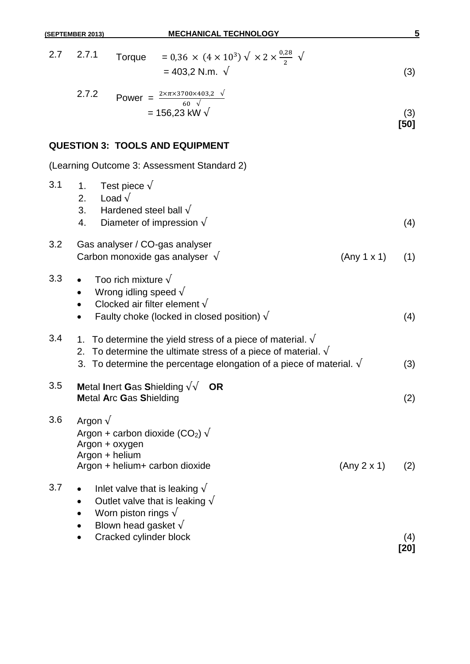|     | 2.7 2.7.1<br>Torque = 0,36 $\times$ (4 $\times$ 10 <sup>3</sup> ) $\sqrt{\times 2 \times \frac{0.25}{2}}$ $\sqrt{\frac{1}{2}}$<br>$= 403,2$ N.m. $\sqrt{ }$                                                                   |             | (3)         |
|-----|-------------------------------------------------------------------------------------------------------------------------------------------------------------------------------------------------------------------------------|-------------|-------------|
|     | 2.7.2<br>Power = $\frac{2 \times \pi \times 3700 \times 403,2}{60}$<br>= 156,23 kW $\sqrt{}$                                                                                                                                  |             | (3)<br>[50] |
|     | <b>QUESTION 3: TOOLS AND EQUIPMENT</b>                                                                                                                                                                                        |             |             |
|     | (Learning Outcome 3: Assessment Standard 2)                                                                                                                                                                                   |             |             |
| 3.1 | Test piece $\sqrt{}$<br>1.<br>2. Load $\sqrt{ }$<br>3. Hardened steel ball $\sqrt$<br>4. Diameter of impression $\sqrt{}$                                                                                                     |             | (4)         |
| 3.2 | Gas analyser / CO-gas analyser<br>Carbon monoxide gas analyser $\sqrt{}$                                                                                                                                                      | (Any 1 x 1) | (1)         |
| 3.3 | Too rich mixture $\sqrt{}$<br>Wrong idling speed $\sqrt{}$<br>$\bullet$<br>Clocked air filter element $\sqrt{}$<br>Faulty choke (locked in closed position) $\sqrt{}$<br>$\bullet$                                            |             | (4)         |
| 3.4 | 1. To determine the yield stress of a piece of material. $\sqrt{ }$<br>2. To determine the ultimate stress of a piece of material. $\sqrt{ }$<br>3. To determine the percentage elongation of a piece of material. $\sqrt{ }$ |             | (3)         |
| 3.5 | Metal Inert Gas Shielding $\sqrt{\sqrt{}}$ OR<br><b>Metal Arc Gas Shielding</b>                                                                                                                                               |             | (2)         |
| 3.6 | Argon $\sqrt$<br>Argon + carbon dioxide (CO <sub>2</sub> ) $\sqrt{ }$<br>Argon + oxygen<br>Argon + helium<br>Argon + helium+ carbon dioxide                                                                                   | (Any 2 x 1) | (2)         |
| 3.7 | Inlet valve that is leaking $\sqrt{}$<br>Outlet valve that is leaking $\sqrt{}$<br>Worn piston rings $\sqrt{ }$<br>Blown head gasket $\sqrt{}$                                                                                |             |             |

**(SEPTEMBER 2013) MECHANICAL TECHNOLOGY 5**

2.7 2.7.1 Torque = 0,36  $\times$  (4  $\times$  10<sup>3</sup>)  $\sqrt{ \times 2 \times ^{0}}$ 

• Cracked cylinder block (4)

**[20]**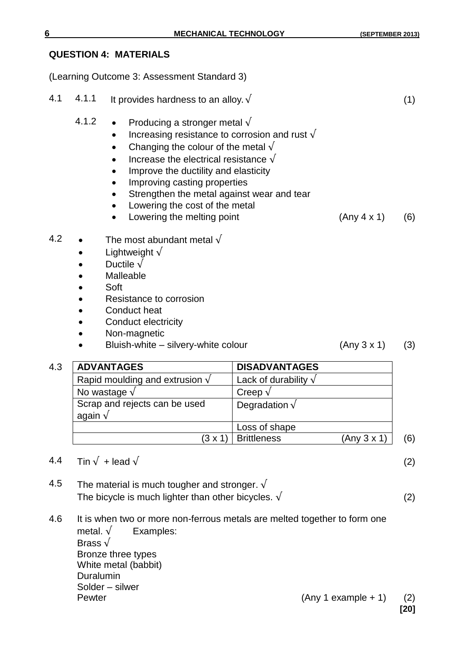#### **QUESTION 4: MATERIALS**

(Learning Outcome 3: Assessment Standard 3)

| 4.1 | 4.1.1           | It provides hardness to an alloy. $\sqrt{}$                                                                                                                                                                                                                                                                                                                                                        |                              |             | (1) |
|-----|-----------------|----------------------------------------------------------------------------------------------------------------------------------------------------------------------------------------------------------------------------------------------------------------------------------------------------------------------------------------------------------------------------------------------------|------------------------------|-------------|-----|
|     | 4.1.2           | Producing a stronger metal $\sqrt{ }$<br>$\bullet$<br>Increasing resistance to corrosion and rust $\sqrt{ }$<br>Changing the colour of the metal $\sqrt{ }$<br>Increase the electrical resistance $\sqrt{ }$<br>Improve the ductility and elasticity<br>Improving casting properties<br>Strengthen the metal against wear and tear<br>Lowering the cost of the metal<br>Lowering the melting point |                              | (Any 4 x 1) | (6) |
| 4.2 |                 | The most abundant metal $\sqrt{}$<br>Lightweight $\sqrt$<br>Ductile $\sqrt$<br>Malleable<br>Soft<br>Resistance to corrosion<br>Conduct heat<br>Conduct electricity<br>Non-magnetic<br>Bluish-white - silvery-white colour                                                                                                                                                                          |                              | (Any 3 x 1) | (3) |
|     |                 |                                                                                                                                                                                                                                                                                                                                                                                                    |                              |             |     |
| 4.3 |                 | <b>ADVANTAGES</b>                                                                                                                                                                                                                                                                                                                                                                                  | <b>DISADVANTAGES</b>         |             |     |
|     |                 | Rapid moulding and extrusion $\sqrt{}$                                                                                                                                                                                                                                                                                                                                                             | Lack of durability $\sqrt{}$ |             |     |
|     |                 | No wastage $\sqrt$                                                                                                                                                                                                                                                                                                                                                                                 | Creep $\sqrt$                |             |     |
|     | again $\sqrt{}$ | Scrap and rejects can be used                                                                                                                                                                                                                                                                                                                                                                      | Degradation $\sqrt$          |             |     |
|     |                 |                                                                                                                                                                                                                                                                                                                                                                                                    | Loss of shape                |             |     |
|     |                 | (3x1)                                                                                                                                                                                                                                                                                                                                                                                              | <b>Brittleness</b>           | (Any 3 x 1) | (6) |

- 4.4 Tin  $\sqrt{}$  + lead  $\sqrt{}$  (2)
- 4.5 The material is much tougher and stronger.  $\sqrt{ }$ The bicycle is much lighter than other bicycles.  $\sqrt{2}$
- 4.6 It is when two or more non-ferrous metals are melted together to form one metal.  $\sqrt{\phantom{a}}$  Examples: Brass  $\sqrt{}$ Bronze three types White metal (babbit) Duralumin Solder – silwer Pewter (Any 1 example + 1) (2)

**[20]**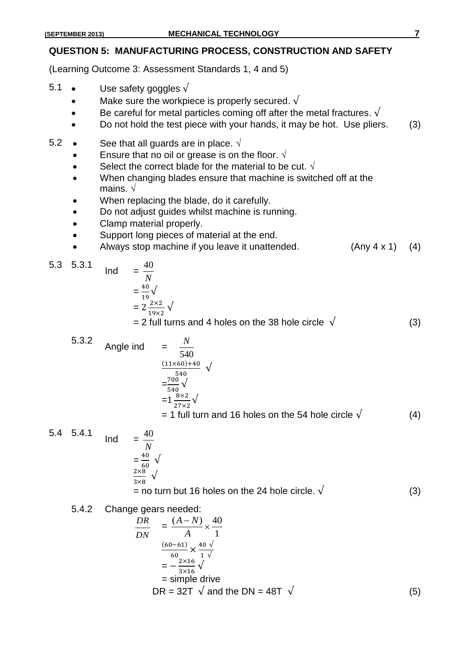#### **QUESTION 5: MANUFACTURING PROCESS, CONSTRUCTION AND SAFETY**

(Learning Outcome 3: Assessment Standards 1, 4 and 5)

- 5.1 Use safety goggles  $\sqrt{ }$ 
	- Make sure the workpiece is properly secured.  $\sqrt{ }$
	- Be careful for metal particles coming off after the metal fractures.  $\sqrt{ }$
	- Do not hold the test piece with your hands, it may be hot. Use pliers. (3)
- 5.2 See that all guards are in place.  $\sqrt{ }$ 
	- Ensure that no oil or grease is on the floor.  $\sqrt{ }$
	- Select the correct blade for the material to be cut.  $\sqrt{ }$
	- When changing blades ensure that machine is switched off at the mains. √
	- When replacing the blade, do it carefully.
	- Do not adjust guides whilst machine is running.
	- Clamp material properly.
	- Support long pieces of material at the end.
	- Always stop machine if you leave it unattended. (Any 4 x 1) (4)

5.3  $5.3.1$  Ind

$$
N = \frac{40}{19} \sqrt{\phantom{0}}
$$
  
= 
$$
2 \frac{2 \times 2}{19} \sqrt{\phantom{0}}
$$

40

$$
2\frac{2\times2}{19\times2}\,\nu
$$

 $= 2$  full turns and 4 holes on the 38 hole circle  $\sqrt{ }$  (3)

5.3.2 Angle ind 
$$
= \frac{N}{540}
$$

$$
= \frac{(11 \times 60) + 40}{540} \sqrt{\frac{540}{540}}
$$

$$
= 1 \frac{700}{540} \sqrt{\frac{8 \times 2}{540}} = 1 \text{ full turn and 16 holes on the 54 hole circle } \sqrt{\frac{4}{540}}
$$

5.4 5.4.1 Ind = 
$$
\frac{40}{N}
$$
  
=  $\frac{40}{60}$   $\sqrt{}$   
=  $\frac{2 \times 8}{3 \times 8}$   $\sqrt{}$ 

= no turn but 16 holes on the 24 hole circle.  $\sqrt$  (3)

#### 5.4.2 Change gears needed:

$$
\frac{DR}{DN} = \frac{(A-N)}{A} \times \frac{40}{1}
$$
\n
$$
\frac{(60-61)}{60} \times \frac{40}{1} \sqrt{\frac{60}{1 \sqrt{1}}}
$$
\n
$$
= -\frac{2 \times 16}{3 \times 16} \sqrt{\frac{60}{1 \sqrt{1}}}
$$
\n
$$
= \text{simple drive}
$$
\n
$$
DR = 32T \sqrt{\text{and the DN}} = 48T \sqrt{\text{ (5)}}
$$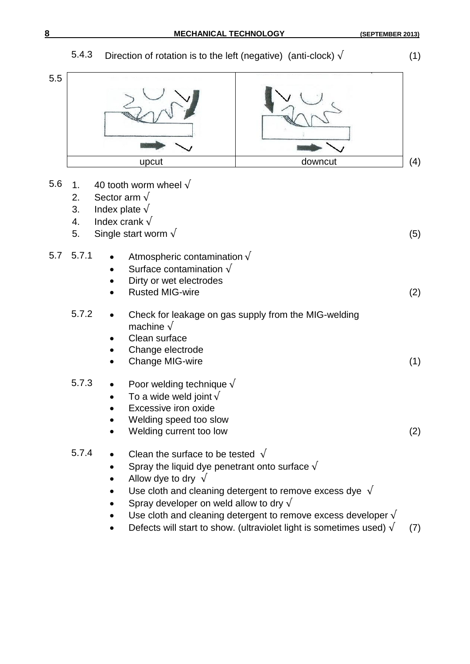### 5.4.3 Direction of rotation is to the left (negative) (anti-clock)  $\sqrt{\ }$  (1) 5.5 upcut and downcut (4) 5.6 1. 40 tooth worm wheel  $\sqrt$ 2. Sector arm  $\sqrt{ }$ 3. Index plate  $\sqrt{ }$ 4. Index crank  $\sqrt{ }$ 5. Single start worm  $\sqrt{ }$  (5) 5.7 5.7.1 • Atmospheric contamination  $\sqrt$ Surface contamination  $\sqrt{ }$  Dirty or wet electrodes Rusted MIG-wire (2) 5.7.2 Check for leakage on gas supply from the MIG-welding machine  $\sqrt{ }$  Clean surface Change electrode Change MIG-wire (1) (1) 5.7.3 • Poor welding technique  $\sqrt{ }$ To a wide weld joint  $\sqrt{ }$  Excessive iron oxide Welding speed too slow Welding current too low (2) 5.7.4 • Clean the surface to be tested  $\sqrt{ }$ Spray the liquid dye penetrant onto surface  $\sqrt{ }$ Allow dye to dry  $\sqrt{ }$ Use cloth and cleaning detergent to remove excess dye  $\sqrt{ }$ Spray developer on weld allow to dry  $\sqrt{ }$ Use cloth and cleaning detergent to remove excess developer  $\sqrt{ }$

Defects will start to show. (ultraviolet light is sometimes used)  $\sqrt{(7)}$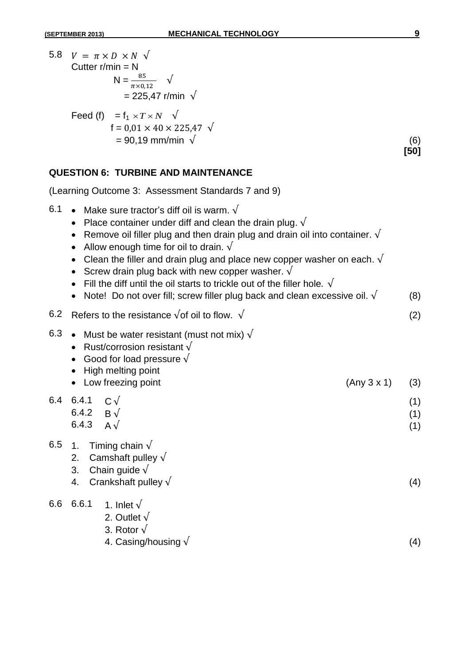5.8  $V = \pi \times D \times N \sqrt{ }$ Cutter  $r/min = N$  $N = \frac{0.3}{\pi \times 0.12}$  $= 225,47$  r/min Feed (f)  $= f_1 \times T \times N$  $f = 0.01 \times 40 \times 225.47$  $= 90,19 \text{ mm/min } \sqrt{ }$  (6) **[50]**

### **QUESTION 6: TURBINE AND MAINTENANCE**

(Learning Outcome 3: Assessment Standards 7 and 9)

| 6.1 | Make sure tractor's diff oil is warm. $\sqrt{ }$<br>Place container under diff and clean the drain plug. $\sqrt{ }$<br>Remove oil filler plug and then drain plug and drain oil into container. $\sqrt{ }$<br>Allow enough time for oil to drain. $\sqrt{ }$<br>Clean the filler and drain plug and place new copper washer on each. $\sqrt{ }$<br>Screw drain plug back with new copper washer. $\sqrt{ }$<br>Fill the diff until the oil starts to trickle out of the filler hole. $\sqrt{ }$<br>Note! Do not over fill; screw filler plug back and clean excessive oil. $\sqrt{ }$ |             | (8)               |
|-----|---------------------------------------------------------------------------------------------------------------------------------------------------------------------------------------------------------------------------------------------------------------------------------------------------------------------------------------------------------------------------------------------------------------------------------------------------------------------------------------------------------------------------------------------------------------------------------------|-------------|-------------------|
| 6.2 | Refers to the resistance $\sqrt{}$ of oil to flow. $\sqrt{}$                                                                                                                                                                                                                                                                                                                                                                                                                                                                                                                          |             | (2)               |
| 6.3 | Must be water resistant (must not mix) $\sqrt{}$<br>Rust/corrosion resistant $\sqrt$<br>Good for load pressure $\sqrt{ }$<br>High melting point<br>Low freezing point                                                                                                                                                                                                                                                                                                                                                                                                                 | (Any 3 x 1) | (3)               |
| 6.4 | 6.4.1<br>$C \sqrt{ }$<br>6.4.2<br>$\mathsf{B}\mathbin{\sqrt{}}$<br>6.4.3<br>$A\sqrt{ }$                                                                                                                                                                                                                                                                                                                                                                                                                                                                                               |             | (1)<br>(1)<br>(1) |
| 6.5 | Timing chain $\sqrt{ }$<br>1 <sub>1</sub><br>Camshaft pulley $\sqrt{}$<br>2.<br>Chain guide $\sqrt$<br>3.<br>Crankshaft pulley $\sqrt$<br>4.                                                                                                                                                                                                                                                                                                                                                                                                                                          |             | (4)               |
| 6.6 | 6.6.1<br>1. Inlet $\sqrt{ }$<br>2. Outlet $\sqrt{ }$<br>3. Rotor $\sqrt{ }$<br>4. Casing/housing $\sqrt$                                                                                                                                                                                                                                                                                                                                                                                                                                                                              |             | (4)               |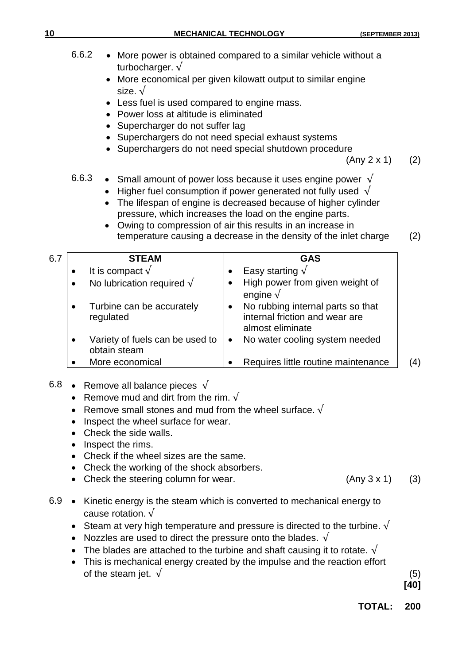|     | 6.6.2<br>• More power is obtained compared to a similar vehicle without a<br>turbocharger. $\sqrt{ }$<br>More economical per given kilowatt output to similar engine<br>$\bullet$<br>size. $\sqrt{ }$<br>Less fuel is used compared to engine mass.<br>Power loss at altitude is eliminated<br>Supercharger do not suffer lag<br>Superchargers do not need special exhaust systems<br>Superchargers do not need special shutdown procedure<br>(Any 2 x 1) |                                                                                                                                                                                                                                                                                                                                                                                                             |            |  |  |
|-----|-----------------------------------------------------------------------------------------------------------------------------------------------------------------------------------------------------------------------------------------------------------------------------------------------------------------------------------------------------------------------------------------------------------------------------------------------------------|-------------------------------------------------------------------------------------------------------------------------------------------------------------------------------------------------------------------------------------------------------------------------------------------------------------------------------------------------------------------------------------------------------------|------------|--|--|
|     | 6.6.3                                                                                                                                                                                                                                                                                                                                                                                                                                                     | • Small amount of power loss because it uses engine power $\sqrt{}$<br>Higher fuel consumption if power generated not fully used $\sqrt{ }$<br>The lifespan of engine is decreased because of higher cylinder<br>pressure, which increases the load on the engine parts.<br>Owing to compression of air this results in an increase in<br>temperature causing a decrease in the density of the inlet charge | (2)        |  |  |
| 6.7 | <b>STEAM</b>                                                                                                                                                                                                                                                                                                                                                                                                                                              | <b>GAS</b>                                                                                                                                                                                                                                                                                                                                                                                                  |            |  |  |
|     | It is compact $\sqrt{ }$<br>No lubrication required $\sqrt{}$<br>Turbine can be accurately<br>regulated<br>Variety of fuels can be used to<br>obtain steam                                                                                                                                                                                                                                                                                                | Easy starting $\sqrt{}$<br>High power from given weight of<br>$\bullet$<br>engine $\sqrt{ }$<br>No rubbing internal parts so that<br>$\bullet$<br>internal friction and wear are<br>almost eliminate<br>No water cooling system needed<br>$\bullet$                                                                                                                                                         |            |  |  |
| 6.8 | More economical<br>Remove all balance pieces $\sqrt{}$<br>Remove mud and dirt from the rim. $\sqrt{ }$<br>Remove small stones and mud from the wheel surface. $\sqrt{ }$<br>Inspect the wheel surface for wear.<br>Check the side walls.<br>Inspect the rims.<br>Check if the wheel sizes are the same.<br>Check the working of the shock absorbers.<br>Check the steering column for wear.                                                               | Requires little routine maintenance<br>(Any 3 x 1)                                                                                                                                                                                                                                                                                                                                                          | (4)<br>(3) |  |  |
|     |                                                                                                                                                                                                                                                                                                                                                                                                                                                           |                                                                                                                                                                                                                                                                                                                                                                                                             |            |  |  |

**10 MECHANICAL TECHNOLOGY (SEPTEMBER 2013)**

- 6.9 Kinetic energy is the steam which is converted to mechanical energy to cause rotation.  $\sqrt{ }$ 
	- Steam at very high temperature and pressure is directed to the turbine.  $\sqrt{ }$
	- Nozzles are used to direct the pressure onto the blades.  $\sqrt{ }$
	- The blades are attached to the turbine and shaft causing it to rotate.  $\sqrt{ }$
	- This is mechanical energy created by the impulse and the reaction effort of the steam jet.  $\sqrt{ }$  (5)

**[40]**

**TOTAL: 200**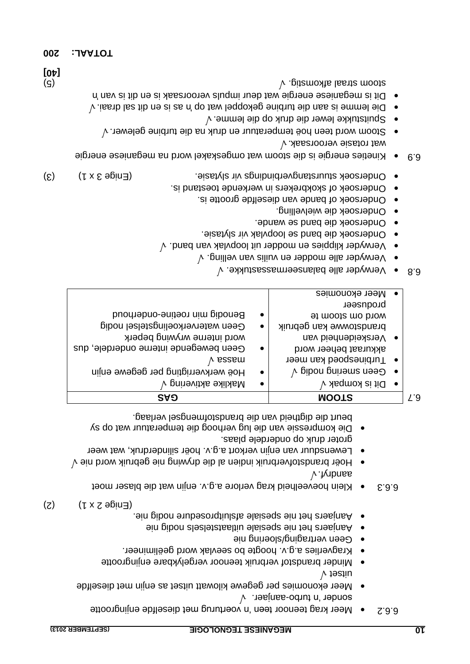- $\vee$  . Tesinsa-oduut n' tehnoa Meer ekonomies per gegewe kilowatt uitset as enjin met dieselfde uitset
- Minder brandstof verbruik teenoor vergelykbare enjingrootte
- Kragverlies a.g.v. hoogte bo seevlak word geëlimineer.
- Geen vertraging/sloering nie
- oin gibon slesletztaaltiu elaiseqs ein terl sneatnsA ·
- Aanjaers het nie spesiale afsluitprosedure nodig nie.

 $(2)$   $(1 \times 2 \text{ e}$   $\lim_{h \to 0}$ 

- f.b. Klein hoeveelheid krag verlore a.g.v. enjin wat die blaser moet aandryf
- Hoër brandstofverbruik indien al die drywing nie gebruik word nie v Lewensduur van enjin verkort a.g.v. hoër silinderdruk, wat weer
- groter druk op onderdele plaas. Die kompressie van die lug verhoog die temperatuur wat op sy beurt die digtheid van die brandstofmengsel verlaag.

| <b>SAƏ</b>                            |           | <b>MOOTS</b>                          |           | Ľ9 |
|---------------------------------------|-----------|---------------------------------------|-----------|----|
| V pninəvitxa əxilxaM                  | $\bullet$ | Dit is kompak v                       | $\bullet$ |    |
| Hoë werkverrigting per gegewe enjin   | $\bullet$ | $\forall$ pibon poing nodig $\forall$ | $\bullet$ |    |
| y qessem                              |           | Turbinespoed kan meer                 | $\bullet$ |    |
| Geen bewegende interne onderdele, dus | $\bullet$ | akkuraat beheer word                  |           |    |
| word interne wrywing beperk           |           | Verskeidenheid van                    | $\bullet$ |    |
| Geen waterverkoelingstelsel nodig     | $\bullet$ | brandstowwe kan gebruik               |           |    |
| Benodig min roetine-onderhoud         | $\bullet$ | 91 moots mo biow                      |           |    |
|                                       |           | produseer                             |           |    |
|                                       |           | Meer ekonomies                        | $\bullet$ |    |

- . Verwyder alle balanseermassastukke 6.8
- Verwyder alle modder en vuilis van velling.  $\sqrt{ }$
- . Verwyder klippies en modder uit loopvlak van band
- . Ondersoek die band se loopvlak vir slytasie
- . Ondersoek die band se wande.
- · Ondersoek die wielvelling.
- . Ondersoek of bande van dieselfde grootte is.
- . Ondersoek of skokbrekers in werkende toestand is.
- Ondersoek stuurstangverbindings vir slytasie.  $(5)$  (3)  $(3)$
- wat omgeskakel wat meganiese energiese energie toom wat omgeskaak en meganiese energie  $\forall$  . Abseroore verours as  $\forall$
- Stoom word teen hoë temperatuur en druk na die turbine gelewer.  $\sqrt{ }$
- $\sim$  Spuitstukke lewer die druk op die lemme.  $\sqrt{ }$
- $\sim$  Die lemme is aan die drich begaan die turbine gekoppel wat die surfaai.  $\sqrt{ }$ . Dit is meganiese energie wat deur impuls veroorsaak is en dit is van in (5)  $\vee$  . gitamodial strategy of  $\vee$  storm strategy  $\vee$  . gitamodial strategy of  $\vee$
- **200 TOTAAL:**

**[40]**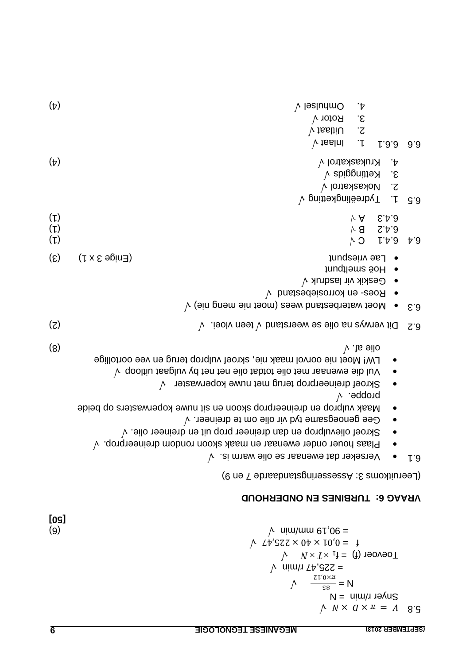$\wedge$   $N \times$   $q \times u = \Lambda$  8.3  $N =$  nimin = N  $\frac{1}{8}$  = N  $\mu \frac{\zeta \zeta}{\zeta}$  $=$  225,47 r/min  $\sqrt{ }$  $N \times T \times 1^{\dagger} = (1)$  revoer  $\uparrow$   $\downarrow$   $\downarrow$   $\downarrow$   $\downarrow$   $\downarrow$   $\downarrow$   $\downarrow$   $\downarrow$   $\downarrow$   $\downarrow$   $\downarrow$   $\downarrow$   $\downarrow$   $\downarrow$   $\downarrow$   $\downarrow$   $\downarrow$   $\downarrow$   $\downarrow$   $\downarrow$   $\downarrow$   $\downarrow$   $\downarrow$   $\downarrow$   $\downarrow$   $\downarrow$   $\downarrow$   $\downarrow$   $\downarrow$   $\downarrow$   $\downarrow$   $\downarrow$   $\downarrow$   $\downarrow$   $\downarrow$   $\downarrow$ (a)  $\mu$  min/mm et  $\mu$  min/mm et  $\mu$  min/mm et  $\mu$ 

#### **TURBINES EN ONDERHOUD VRAAG 6:**

(Peeruitkoms 3: Assesseringstandaarde 7 en 9)

- $\sqrt{ }$ . si mnsw eilo ez nasnewe at bis seker dat even verse.
- Plaas houer onder ewenaar en maak skoon rondom dreineerprop.  $\sqrt$
- Skroef olievulprop en dan dreineer prop uit en dreineer olie.  $\sqrt$
- $\sim$  Gee genoegsame tyd vir olie om te dreineer.  $\sqrt{ }$
- wasters op beide en dreineerprop skoon en sit nuwe koperwasters op beide  $V$  . bqqonq
- $\bullet$  Skroef dreineerprop terug met nuwe koperwaster  $\sqrt{ }$
- $\vee$  qooltiu tasgluv  $\vee$ d ten ten olie net by vulgaat uitloop  $\vee$
- LW! Moet nie oorvol maak nie, skroef vulprop terug en vee oortollige (8)  $\vee$  is ellowed a finite and  $\vee$  is ellowed as  $\vee$  is ellowed as  $\vee$  is ellowed as  $\vee$
- (2) . teen vloei olie se weerstand t verwys na Di 6.2
- $\mathcal{V}$  (ein prementes nees (moet nie meng nie)  $\mathcal{V}$
- $\sqrt{ }$  bnstaedeizorrox ne Poed  $\sqrt{ }$
- Geskik vir lasdruk

 $\vee$  pritteringketting  $\vee$ 

- Hoë smeltpunt • Lae vriespunt e Lae and the Lae is a Lae stress of  $\mathbb{R}^3$  (3)
- (1) C √ 6.4.1 6.4 (1) B √ 6.4.2 (1) A √ 6.4.3
- 2. Nokaskatrol  $\sqrt{ }$  $\delta$ . Kettinggids  $\sqrt{2}$
- (4) Krukaskatrol 4.  $V$  issint 1. 1.  $1.3.3$  6.6 2. Uitlaat v
- 3. Rotor V  $(\texttt{b})$   $(\texttt{a})$

**[50]**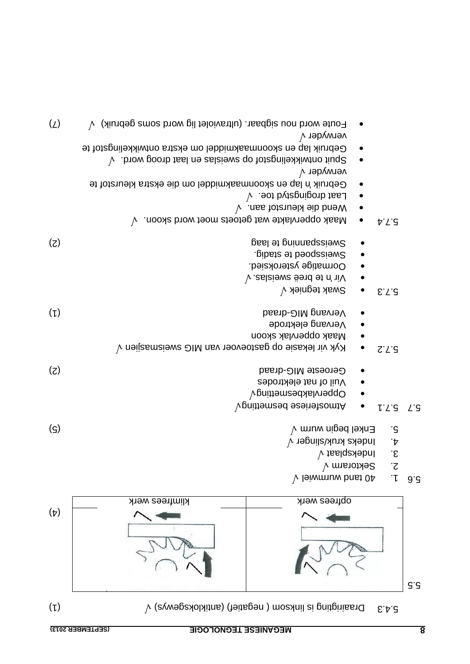| (SEPTEMBER 2013)           | <b>MEGANIESE TEGNOLOGIE</b>                                  |                                                                             | 8   |
|----------------------------|--------------------------------------------------------------|-----------------------------------------------------------------------------|-----|
| $(\iota)$                  |                                                              | $\forall$ (avwegsading in mosann) (antikloksgewys) $\forall$<br>5.4.3       |     |
|                            |                                                              |                                                                             | G.d |
| $(\nabla)$                 |                                                              |                                                                             |     |
|                            | klimfrees werk                                               | obtrees werk                                                                |     |
|                            |                                                              | $\cdot$ $\zeta$<br>Sektorarm V<br>$\cdot$<br>$\lambda$ leiwmuw bnst 04      | 9.5 |
|                            |                                                              | $\cdot \varepsilon$<br>$\lambda$ tasiqaxəbni                                |     |
| $\left( \mathsf{S}\right)$ |                                                              | Enkel begin wum $\vee$<br>.c<br>$\mathbf{r}$<br>Indeks kruk/slinger $\sqrt$ |     |
|                            |                                                              | $\vee$ pnittesbesmetting $\vee$<br><b>Vgnitteriese besmetting</b><br>L.S.   | L'S |
| (5)                        |                                                              | Geroeste MIG-draad<br>Vuil of nat elektrodes                                |     |
|                            | $V$ yk vir lekasie op gastoevoer van MIG sweismasjien $V$    | $Z^{\prime}L^{\prime}S$                                                     |     |
|                            |                                                              | 9bontang elektrode<br>Maak oppervlak skoon                                  |     |
| $(\iota)$                  |                                                              | <b>besib-OIM prisviev</b>                                                   |     |
|                            |                                                              | $\forall$ yəingət xisw $\mathcal{C}$<br>E.7.3                               |     |
|                            |                                                              | Oormatige ysteroksied.<br>V . zalziewe send et n' niV                       |     |
|                            |                                                              | Sweisspoed te stadig.                                                       |     |
| (5)                        |                                                              | Sweissbanning te laag                                                       |     |
|                            | Maak oppervlakte wat getoets moet word skoon. $\sqrt{ }$     | b.7.3                                                                       |     |
|                            |                                                              | Laat drogingstyd toe. $\sqrt{ }$<br>$\vee$ . nes tot and sib bnew           |     |
|                            | Gebruik 'n lap en skoonmaakmiddel om die ekstra kleurstof te |                                                                             |     |

 $\mathcal{P}$  biow gooth fiel ne zalaiewa qo totagnile akiwith diude  $\mathcal{P}$ 

Gebruik lap en skoonmaakmiddel om ekstra ontwikkelingstof te

 $\bullet$  Foute word nou sigbaar. (ultraviolet lig word soms gebruik)  $\sqrt$ 

verwyder

verwyder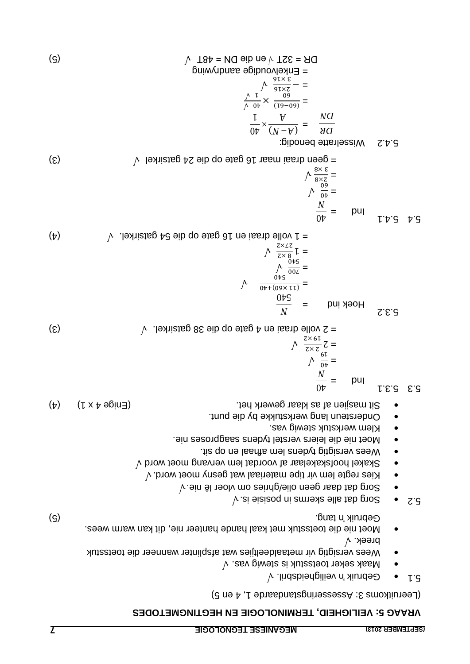#### **VEILIGHEID, TERMINOLOGIE EN HEGTINGMETODES VRAAG 5:**

(Leeruitkoms 3: Assesseringstandaarde 1, 4 en 5)

- 5.1 Gebruik 'n veiligheidsbril.  $\sqrt{ }$
- . Maak seker toetsstuk is stewig vas Wees versigtig vir metaaldeeltjies wat afsplinter wanneer die toetsstuk
- . breek Moet nie die toetsstuk met kaal hande hanteer nie, dit kan warm wees. (5) tang. 'n Gebruik is 'n Gebruik van die 1ste jaar van die 1ste jaar van die 1ste jaar van die 1ste januar 1
- $\sqrt{a}$  alle skerms in posision in posision  $\sqrt{a}$
- $\sqrt{ }$  . Sorg dat daar geen olie/ghries om vloer lê nie.  $\sqrt{ }$
- v Kies regte lem vir tipe materiaal wat gesny moet word.  $\sqrt{ }$
- $\bullet$  Skakel hoofskakelaar af voordat lem vervang moet word  $\sqrt{ }$
- . Wees versigtig tydens lem afhaal en op sit
- . Moet nie die leiers verstel tydens saagproses nie.
- · Klem werkstuk stewig vas
- . Ondersteun lang werkstukke by die punt
- $\bullet$  3it masjien af as klaar gewerk het.
- 5.3.1 5.3  $0\nu$

 $L^{\dagger}$ 5.4.1

pul

$$
\begin{array}{rcl}\n\wedge & \frac{z \times 6I}{z \times z} & z = \\
& \wedge & \frac{6I}{0 \cdot b} = \\
& & \frac{N}{0 \cdot b} = \n\end{array}
$$

 $(3)$  . The distance op die 38 gatsirkel.  $\sqrt{ }$  is a  $\frac{1}{2}$  of  $(3)$ 

$$
\frac{M}{\sqrt{1 + \frac{0 \cancel{1}{10}}{\frac{0 \cancel{1}{10}}{\frac{0 \cancel{1}{10}}}}}} = \text{bni AooH}
$$
\n
$$
= \frac{1}{\sqrt{1 + \frac{0 \cancel{1}{10}}{\frac{0 \cancel{1}{10}}{\frac{0 \cancel{1}{10}}}}}} = \sqrt{1 + \frac{0}{\sqrt{1 + \frac{0 \cancel{1}{10}}{\frac{0 \cancel{1}{10}}}}}} = \sqrt{1 + \frac{0}{\sqrt{1 + \frac{0 \cancel{1}{10}}{\frac{0 \cancel{1}{10}}}}}} = \sqrt{1 + \frac{0}{\sqrt{1 + \frac{0 \cancel{1}{10}}{\frac{0 \cancel{1}{10}}}}}} = \sqrt{1 + \frac{0}{\sqrt{1 + \frac{0 \cancel{1}{10}}{\frac{0 \cancel{1}{10}}{\frac{0 \cancel{1}{10}}}}}} = \sqrt{1 + \frac{0}{\sqrt{1 + \frac{0}{10}}}} = \sqrt{1 + \frac{0}{\sqrt{1 + \frac{0}{10}}}} = \sqrt{1 + \frac{0}{\sqrt{1 + \frac{0}{10}}}} = \sqrt{1 + \frac{0}{\sqrt{1 + \frac{0}{10}}}} = \sqrt{1 + \frac{0}{\sqrt{1 + \frac{0}{10}}}} = \sqrt{1 + \frac{0}{\sqrt{1 + \frac{0}{10}}}} = \sqrt{1 + \frac{0}{\sqrt{1 + \frac{0}{10}}}} = \sqrt{1 + \frac{0}{\sqrt{1 + \frac{0}{10}}}} = \sqrt{1 + \frac{0}{\sqrt{1 + \frac{0}{10}}}} = \sqrt{1 + \frac{0}{\sqrt{1 + \frac{0}{10}}}} = \sqrt{1 + \frac{0}{\sqrt{1 + \frac{0}{10}}}} = \sqrt{1 + \frac{0}{\sqrt{1 + \frac{0}{10}}}} = \sqrt{1 + \frac{0}{\sqrt{1 + \frac{0}{10}}}} = \sqrt{1 + \frac{0}{\sqrt{1 + \frac{0}{10}}}} = \sqrt{1 + \frac{0}{\sqrt{1 + \frac{0}{10}}}} = \sqrt{1 + \frac{0}{\sqrt{1 + \frac{0}{10}}}} = \sqrt{1 + \frac{0}{\sqrt{1 + \frac{0}{10}}}} = \sqrt{1 + \frac{0}{\sqrt{1 + \frac{0}{10}}}} = \sqrt{1 + \frac{0}{\sqrt{
$$

*N*  $0\nu$ 

 $\frac{1}{v}$  =  $_{09}^{\times}$ 

 $\frac{3x}{8\times z}$  =  $\frac{8}{9}$  $(3)$  signal die 24 gate op die 24 dat raai maar 16 gate van die 24 dae en van die 20 gate van die 20 gate van die 20 gate van die 20 gate van die 20 gate van die 20 gate van die 20 gate van die 20 gate van die 20 gate va

16 gate op die 54 gatsirkel.  $\sqrt{ }$ 

(5)

\n
$$
\frac{DK}{M} = \frac{B}{M} \times \frac{(N - A)}{N} = \frac{B}{M}
$$
\nSubstituting the values of the values:

\n
$$
\frac{DK}{M} = \frac{B}{\frac{S(N - A)}{40}} \times \frac{A}{\frac{S(N - A)}{40}} \times \frac{A}{\frac{S(N - A)}{40}} \times \frac{A}{\frac{S(N - A)}{40}} \times \frac{A}{\frac{S(N - A)}{40}} \times \frac{A}{\frac{S(N - A)}{40}} \times \frac{A}{\frac{S(N - A)}{40}} \times \frac{A}{\frac{S(N - A)}{40}} \times \frac{A}{\frac{S(N - A)}{40}} \times \frac{A}{\frac{S(N - A)}{40}} \times \frac{A}{\frac{S(N - A)}{40}} \times \frac{A}{\frac{S(N - A)}{40}} \times \frac{A}{\frac{S(N - A)}{40}} \times \frac{A}{\frac{S(N - A)}{40}} \times \frac{A}{\frac{S(N - A)}{40}} \times \frac{A}{\frac{S(N - A)}{40}} \times \frac{A}{\frac{S(N - A)}{40}} \times \frac{A}{\frac{S(N - A)}{40}} \times \frac{A}{\frac{S(N - A)}{40}} \times \frac{A}{\frac{S(N - A)}{40}} \times \frac{A}{\frac{S(N - A)}{40}} \times \frac{A}{\frac{S(N - A)}{40}} \times \frac{A}{\frac{S(N - A)}{40}} \times \frac{A}{\frac{S(N - A)}{40}} \times \frac{A}{\frac{S(N - A)}{40}} \times \frac{A}{\frac{S(N - A)}{40}} \times \frac{A}{\frac{S(N - A)}{40}} \times \frac{A}{\frac{S(N - A)}{40}} \times \frac{A}{\frac{S(N - A)}{40}} \times \frac{A}{\frac{S(N - A)}{40}} \times \frac{A}{\frac{S(N - A)}{40}} \times \frac{A}{\frac{S(N - A)}{40}} \times \frac{A}{\frac{S(N - A)}{40}} \times \frac{A}{\frac{S(N - A)}{40}} \times \frac{A}{\frac{S(N - A)}{40}} \times \frac{A}{\frac{S(N - A)}{40}} \times \frac
$$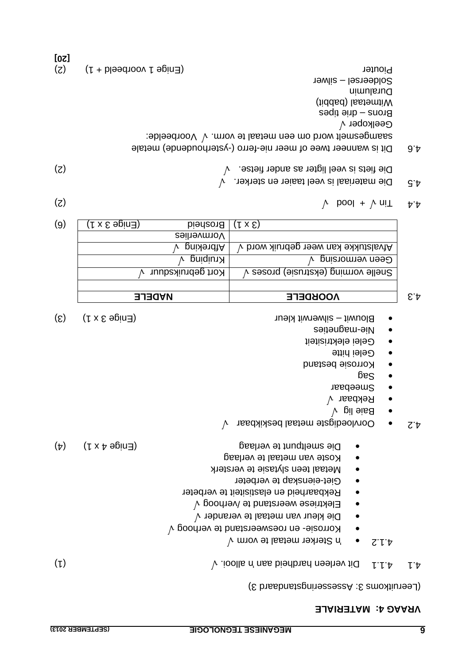**[20]**

#### **MATERIALE VRAAG 4:**

(Leeruitkoms 3: Assesseringstandaard 3)

| $(\iota)$ | $\lambda$ ioolls n' nes bienband nestre d'une nouvrir de la production de la production de la production de la production de la production de la production de la production de la production de la production de la production de |  |
|-----------|------------------------------------------------------------------------------------------------------------------------------------------------------------------------------------------------------------------------------------|--|

- Sterker metaal te vorm 'n 4.1.2
- $\sim$  Korrosie- en roesweerstand te verhoog  $\sqrt{ }$
- o Die kleur van metaal te verander  $\sqrt{ }$
- Elektriese weerstand te /verhoog  $\sqrt{ }$
- Rekbaarheid en elastisiteit te verbeter
- e Giet-eienskap te verbeter
- Metaal teen slytasie te versterk
- Koste van metaal te verlaag
- $\bullet$  Die smeltpunt te verlaag bestroom (Enige 4 x 1) (4)
- $\lambda$  oorvloedigste metaal beskikbaar  $\lambda$
- $\sim$  Baie lig  $\sim$
- Rekbaar
- Smeebaar
- $\frac{1}{2}$
- Korrosie bestand
- Gelei hitte
- Gelei elektrisiteit
- magneties Nie
- Blouwit silwerwit kleur Superwit kleur Superwit kleur Blouwit kleur Blouwit kleur Superwit kleur B

| <b>NADELE</b> |                   | <b><i>NOOKDELE</i></b>                       |
|---------------|-------------------|----------------------------------------------|
|               | Kort gebruiksduur | Snelle vorming (ekstrusie) proses v          |
|               | Kruiping          | Geen vermorsing                              |
|               | pristing          | Afvalstukke kan weer gebruik word $\sqrt{ }$ |
|               | Vormverlies       |                                              |
| (Γ x ε əpin∃) | <b>Brosheid</b>   | $(1 \times \mathcal{E})$                     |

- (2)  $\uparrow$  pool +  $\uparrow$  uit  $\uparrow$   $\uparrow$
- 4.5 Die materiaal is veel taaier en sterker.  $\sqrt{ }$ (2) Die fiets is veel ligter as ander fietse.
- 4.6 Dit is wanneer twee of meer nie-ferro (-ysterhoudende) metale saamgesmelt word om een metaal te vorm.  $\sqrt{\ }$  Voorbeelde: Geelkoper Brons – drie tipes Witmetaal (babbit) Duralumin Soldeersel – silwer Piouter (Enige 1 voorbeeld + 1) (2)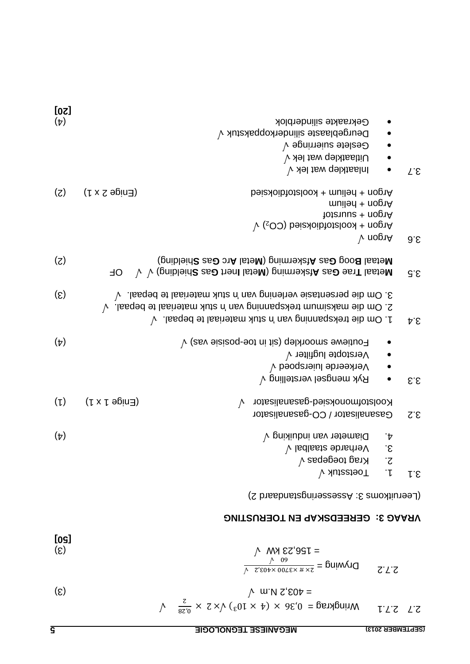| $\epsilon$ | $\mu$ w N $\zeta$ ( $\zeta$ =                                                                                                                         |  |
|------------|-------------------------------------------------------------------------------------------------------------------------------------------------------|--|
|            | $\sqrt{1 + \frac{85.0}{5}} \times 2 \times \sqrt{(21 + 4)} \times 36.0 = 0.36$ = 0.36 × 10 <sup>3</sup> ) $\sqrt{x} \times 2 \times \frac{5.8}{0.28}$ |  |

(S)

\n
$$
\frac{1}{\sqrt{2}} \frac{\cos \theta}{\cos \theta} = \frac{1}{2} \sec \theta
$$
\n(S)

\n
$$
\frac{1}{\sqrt{2}} \sec \theta = \frac{1}{2} \sec \theta
$$
\n(S)

\n
$$
\frac{1}{\sqrt{2}} \sec \theta = \frac{1}{2} \sec \theta
$$
\n(S)

\n
$$
\frac{1}{\sqrt{2}} \sec \theta = \frac{1}{2} \sec \theta
$$

### **GEREEDSKAP EN TOERUSTING VRAAG 3:**

2) (Leeruitkoms 3: Assesseringstandaard

| [20]                        |                                          |                                                                                                 |                         |
|-----------------------------|------------------------------------------|-------------------------------------------------------------------------------------------------|-------------------------|
| $(\nabla)$                  |                                          | Gekraakte silinderblok                                                                          |                         |
|                             |                                          | Deurgeblaaste silinderkoppakstuk v                                                              |                         |
|                             |                                          | Geslete suierringe $\sqrt{ }$                                                                   |                         |
|                             |                                          | Uitlaatklep wat lek $\sqrt{}$                                                                   |                         |
|                             |                                          | Inlaatklep wat lek $\sqrt$                                                                      | $T.\mathcal{E}$         |
| (z)                         | $(5 \times 5 \text{ eV})$                | heiz + helium + koolstotbiokshed                                                                |                         |
|                             |                                          | muiled + nop1A                                                                                  |                         |
|                             |                                          | $h$ rgon + suurstof                                                                             |                         |
|                             |                                          | $\forall$ (sOO) beiz Aoib to the obset of CO <sub>2</sub> ) $\forall$<br>$\vee$ nop1A           |                         |
|                             |                                          |                                                                                                 | 9.5                     |
| (5)                         |                                          | (gnibleind Boog Gas Afskerming (Metal Arc Gas Shielding)                                        |                         |
|                             | <b>OL</b>                                | $\forall \forall$ (gniblein $\bm{S}$ ass Aferming (Netal Inert Gas Shielding) $\forall \forall$ | $G.\mathcal{E}$         |
| $\left( \mathcal{E}\right)$ |                                          | $\lambda$ . lasqed et sentasiev verlening van 'n stuk materiaal te bepaal. $\sqrt{ }$           |                         |
|                             |                                          | 2. Om die maksimum trekspanining van 'n stuk materiaal te bepaal. V                             |                         |
|                             |                                          | 1. Om die trekspanning van 'n stuk materiaal te bepaal. V                                       | A.B.                    |
| $(\nabla)$                  |                                          | $\forall$ (asv eisizoq-eot ni tis) qelxhooms eweituo $\exists$                                  |                         |
|                             |                                          | Verstopte lugfilter v                                                                           |                         |
|                             |                                          | Verkeerde luierspoed v                                                                          |                         |
|                             |                                          | Ryk mengsel verstelling $\sqrt$                                                                 | $\mathsf{S}.\mathsf{S}$ |
| $(\mathsf{L})$              | $( f x \upharpoonright$ agin $\exists )$ | Koolstofmonoksied-gasanalisator<br>$\wedge$                                                     |                         |
|                             |                                          | Gasanalisator / CO-gasanalisator                                                                | $S.\mathcal{S}$         |
| $(\nabla)$                  |                                          | Diameter van induiking $\sqrt{}$<br>`†                                                          |                         |
|                             |                                          | $\overline{\mathcal{E}}$<br>Verharde staalbal v                                                 |                         |
|                             |                                          | 2. Krag toegepas v                                                                              |                         |
|                             |                                          | $\sqrt{2}$ Toetsstuk $\sqrt{2}$                                                                 | r.s                     |
|                             |                                          | (7 nippni ipishi iliassassu 10 silinyiiniaati)                                                  |                         |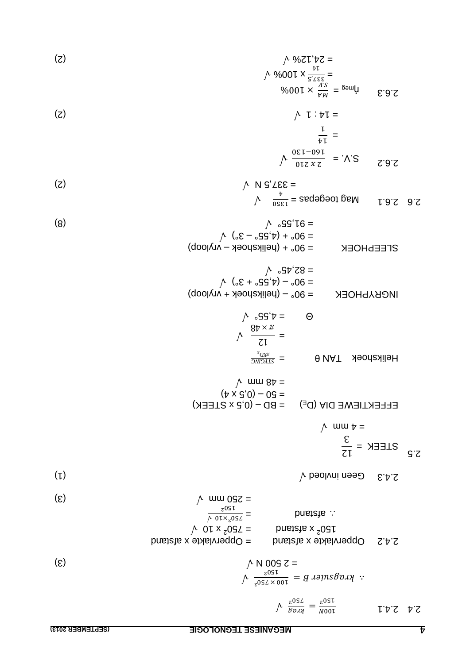$$
\frac{1}{2} \times 100 \text{ m/s}
$$
\n
$$
\frac{1}{2} \times 100 \text{ m/s}
$$
\n
$$
\frac{1}{2} \times 100 \text{ m/s}
$$
\n
$$
\frac{1}{2} \times 100 \text{ m/s}
$$
\n
$$
\frac{1}{2} \times 100 \text{ m/s}
$$
\n
$$
\frac{1}{2} \times 100 \text{ m/s}
$$
\n
$$
\frac{1}{2} \times 100 \text{ m/s}
$$
\n
$$
\frac{1}{2} \times 100 \text{ m/s}
$$
\n
$$
\frac{1}{2} \times 100 \text{ m/s}
$$
\n
$$
\frac{1}{2} \times 100 \text{ m/s}
$$
\n
$$
\frac{1}{2} \times 100 \text{ m/s}
$$
\n
$$
\frac{1}{2} \times 100 \text{ m/s}
$$
\n
$$
\frac{1}{2} \times 100 \text{ m/s}
$$
\n
$$
\frac{1}{2} \times 100 \text{ m/s}
$$
\n
$$
\frac{1}{2} \times 100 \text{ m/s}
$$
\n
$$
\frac{1}{2} \times 100 \text{ m/s}
$$
\n
$$
\frac{1}{2} \times 100 \text{ m/s}
$$
\n
$$
\frac{1}{2} \times 100 \text{ m/s}
$$
\n
$$
\frac{1}{2} \times 100 \text{ m/s}
$$
\n
$$
\frac{1}{2} \times 100 \text{ m/s}
$$
\n
$$
\frac{1}{2} \times 100 \text{ m/s}
$$
\n
$$
\frac{1}{2} \times 100 \text{ m/s}
$$
\n
$$
\frac{1}{2} \times 100 \text{ m/s}
$$
\n
$$
\frac{1}{2} \times 100 \text{ m/s}
$$
\n
$$
\frac{1}{2} \times 100 \text{ m/s}
$$
\n
$$
\frac{1}{2} \times 100 \text{ m/s}
$$
\n
$$
\frac{1}{2} \times 100 \text{ m/s}
$$
\n
$$
\frac{1}{2} \times 100 \text{ m/s}
$$
\n
$$
\frac{1
$$

(2) = 24,12%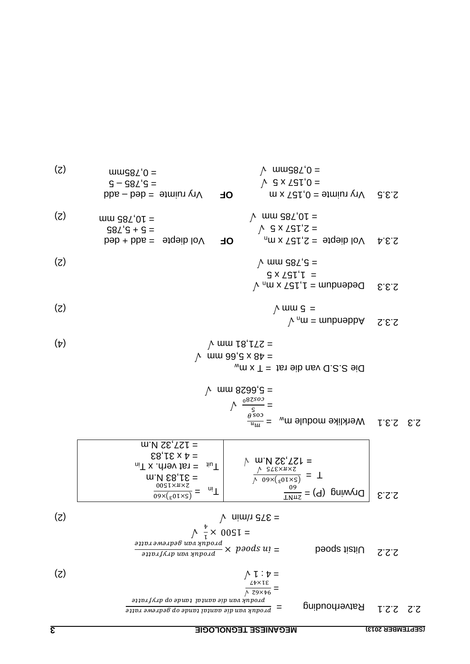verhouding = Rat 2.2.1 2.2 = (2) = 4 : 1 = Uitsit spoed 2.2.2 = (2) = 375 r/min Drywing (P) = 2.2.3 T = ( ) = 127,32 N.m √ = in T ( ) = 31,83 N.m in T = rat verh. x uit T = 4 x 31,83 = 127,32 N.m Werklike module m 1. 3 2. 2.3 = <sup>w</sup> = = 5,6628 mm <sup>w</sup> Die S.S.D van die rat = T x m = 48 x 5,66 mm ) 4( = 271,81 mm <sup>n</sup>Addendum = m 2.3.2 (2) 5 mm = <sup>n</sup> Dedendum = 1,157 x m 2.3.3 1,157 x 5 = (2) = 5,785 mm

 $\Omega$ .3.4 Vol diepte = 2,151, x m<sub>n</sub>  $\sim$  3 x 2 5  $\sqrt{ }$  $\sqrt{m}$  mm  $\frac{1}{2}$  mm  $\frac{1}{2}$ **ol**  $\sqrt{6}$  **v**  $\sqrt{6}$  **o**  $\sqrt{10}$  **O**  $\sqrt{10}$  **P**  $\sqrt{10}$  **P**  $\sqrt{10}$  **P**  $\sqrt{10}$  $98L'9 + 9 =$ mm d8T,01 = (2)

 $\mu$  Vry ruimte = 0,151 x m  $\vee$  3 x  $\sqrt{3}$  t, 0 =  $\mu$  mmd $8\lambda$ <sup>t</sup> $0 =$ **a**dd –  $\Delta$ ry ruimte = ded – add  $G - G8Z'S =$  $(X)$  uuug $8Z'0 =$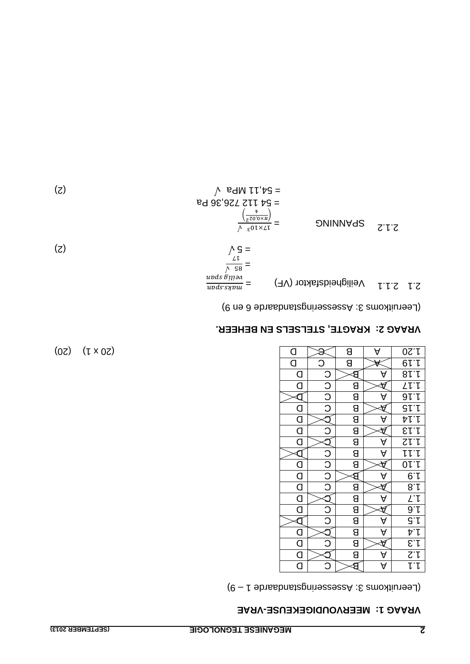#### **VRAE - MEERVOUDIGEKEUSE VRAAG 1:**

9) – 1 e Assesseringstandaard 3: Leeruitkoms (

| $\overline{a}$                  |         | В                       | A                    | 0S.1                                                                                                                                                                                                                                                                                                                                                                                          |
|---------------------------------|---------|-------------------------|----------------------|-----------------------------------------------------------------------------------------------------------------------------------------------------------------------------------------------------------------------------------------------------------------------------------------------------------------------------------------------------------------------------------------------|
| $\overline{\mathsf{d}}$         | Ć       | В                       |                      |                                                                                                                                                                                                                                                                                                                                                                                               |
| $\overline{\mathsf{C}}$         |         |                         |                      |                                                                                                                                                                                                                                                                                                                                                                                               |
| O                               |         | $\mathsf{B}$            |                      |                                                                                                                                                                                                                                                                                                                                                                                               |
|                                 |         | $\overline{\mathsf{B}}$ | д                    |                                                                                                                                                                                                                                                                                                                                                                                               |
| $\overline{a}$                  | C O O O | $\overline{B}$          |                      | ar.r<br>81.1<br>81.1<br>81.1                                                                                                                                                                                                                                                                                                                                                                  |
| $\overline{\mathsf{C}}$         |         | $\overline{\mathsf{B}}$ | A                    |                                                                                                                                                                                                                                                                                                                                                                                               |
| $\overline{\mathsf{d}}$         | J       | $\overline{\mathsf{B}}$ |                      | $\frac{\frac{1}{2} \frac{1}{2} \frac{1}{2} \frac{1}{2} \frac{1}{2} \frac{1}{2} \frac{1}{2} \frac{1}{2} \frac{1}{2} \frac{1}{2} \frac{1}{2} \frac{1}{2} \frac{1}{2} \frac{1}{2} \frac{1}{2} \frac{1}{2} \frac{1}{2} \frac{1}{2} \frac{1}{2} \frac{1}{2} \frac{1}{2} \frac{1}{2} \frac{1}{2} \frac{1}{2} \frac{1}{2} \frac{1}{2} \frac{1}{2} \frac{1}{2} \frac{1}{2} \frac{1}{2} \frac{1}{2} \$ |
| $\overline{\mathsf{d}}$         |         |                         | А                    |                                                                                                                                                                                                                                                                                                                                                                                               |
|                                 |         | $\frac{a}{b}$           | A                    | $\overline{\mathsf{L}\mathsf{L}\mathsf{L}}$                                                                                                                                                                                                                                                                                                                                                   |
| $\overline{\mathsf{d}}$         | alololo | $\overline{\mathsf{B}}$ |                      | 01.1                                                                                                                                                                                                                                                                                                                                                                                          |
| $\frac{\square}{\square}$       |         | Э                       | A                    | $rac{6.1}{8.1}$                                                                                                                                                                                                                                                                                                                                                                               |
|                                 |         | 8                       |                      |                                                                                                                                                                                                                                                                                                                                                                                               |
| $\overline{\mathsf{C}}$         |         | $\overline{B}$          | A                    |                                                                                                                                                                                                                                                                                                                                                                                               |
| $\overline{\mathsf{d}}$         | Q O O   | $\overline{B}$          |                      |                                                                                                                                                                                                                                                                                                                                                                                               |
|                                 |         | $\overline{\mathsf{B}}$ | A                    |                                                                                                                                                                                                                                                                                                                                                                                               |
|                                 |         | 8                       | $\overline{\forall}$ |                                                                                                                                                                                                                                                                                                                                                                                               |
| $\frac{0}{\Omega}$              | C       | $\overline{\mathsf{g}}$ |                      | $\frac{\frac{\sum\limits_{i=1}^{n}1_{i}}{1_{i}}}{\sum\limits_{i=1}^{n}1_{i}}$                                                                                                                                                                                                                                                                                                                 |
| $\frac{\mathsf{d}}{\mathsf{d}}$ |         | В                       | A                    |                                                                                                                                                                                                                                                                                                                                                                                               |
|                                 | C       |                         | Ą                    | いし                                                                                                                                                                                                                                                                                                                                                                                            |

 $(02)$   $(1 \times 02)$ 

### **KRAGTE, STELSELS EN BEHEER. VRAAG 2:**

(Leeruitkoms 3: Assesseringstandaarde 6 en 9)

$$
\frac{\text{arg} \sin \theta}{\sqrt{c}} = \frac{\text{arg} \sin \theta}{\sqrt{c}} = \frac{\text{arg} \sin \theta}{\sqrt{c}} = \frac{\text{arg} \sin \theta}{\sqrt{c}}
$$
 (2)

$$
\frac{1.5 \text{ A}}{1.2 \text{ A}} = 54.11 \text{ MPa} \quad (2)
$$
\n
$$
= 54.11 \text{ NPa} \quad (3)
$$
\n
$$
= 54.11 \text{ NPa} \quad (3)
$$
\n
$$
= 54.11 \text{ NPa} \quad (3)
$$